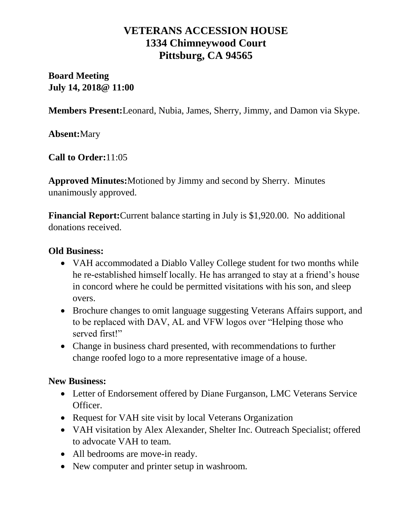## **VETERANS ACCESSION HOUSE 1334 Chimneywood Court Pittsburg, CA 94565**

**Board Meeting July 14, 2018@ 11:00**

**Members Present:**Leonard, Nubia, James, Sherry, Jimmy, and Damon via Skype.

**Absent:**Mary

**Call to Order:**11:05

**Approved Minutes:**Motioned by Jimmy and second by Sherry. Minutes unanimously approved.

**Financial Report:**Current balance starting in July is \$1,920.00. No additional donations received.

### **Old Business:**

- VAH accommodated a Diablo Valley College student for two months while he re-established himself locally. He has arranged to stay at a friend's house in concord where he could be permitted visitations with his son, and sleep overs.
- Brochure changes to omit language suggesting Veterans Affairs support, and to be replaced with DAV, AL and VFW logos over "Helping those who served first!"
- Change in business chard presented, with recommendations to further change roofed logo to a more representative image of a house.

#### **New Business:**

- Letter of Endorsement offered by Diane Furganson, LMC Veterans Service Officer.
- Request for VAH site visit by local Veterans Organization
- VAH visitation by Alex Alexander, Shelter Inc. Outreach Specialist; offered to advocate VAH to team.
- All bedrooms are move-in ready.
- New computer and printer setup in washroom.